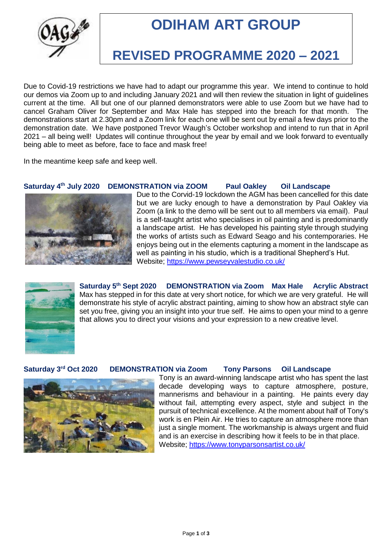

# **ODIHAM ART GROUP**

## **REVISED PROGRAMME 2020 – 2021**

Due to Covid-19 restrictions we have had to adapt our programme this year. We intend to continue to hold our demos via Zoom up to and including January 2021 and will then review the situation in light of guidelines current at the time. All but one of our planned demonstrators were able to use Zoom but we have had to cancel Graham Oliver for September and Max Hale has stepped into the breach for that month. The demonstrations start at 2.30pm and a Zoom link for each one will be sent out by email a few days prior to the demonstration date. We have postponed Trevor Waugh's October workshop and intend to run that in April 2021 – all being well! Updates will continue throughout the year by email and we look forward to eventually being able to meet as before, face to face and mask free!

In the meantime keep safe and keep well.

### **Saturday 4th July 2020 DEMONSTRATION via ZOOM Paul Oakley Oil Landscape**



Due to the Corvid-19 lockdown the AGM has been cancelled for this date but we are lucky enough to have a demonstration by Paul Oakley via Zoom (a link to the demo will be sent out to all members via email). Paul is a self-taught artist who specialises in oil painting and is predominantly a landscape artist. He has developed his painting style through studying the works of artists such as Edward Seago and his contemporaries. He enjoys being out in the elements capturing a moment in the landscape as well as painting in his studio, which is a traditional Shepherd's Hut. Website;<https://www.pewseyvalestudio.co.uk/>



Saturday 5<sup>th</sup> Sept 2020 **DEMONSTRATION** via Zoom Max Hale Acrylic Abstract Max has stepped in for this date at very short notice, for which we are very grateful. He will demonstrate his style of acrylic abstract painting, aiming to show how an abstract style can set you free, giving you an insight into your true self. He aims to open your mind to a genre that allows you to direct your visions and your expression to a new creative level.

#### Saturday 3<sup>rd</sup> Oct 2020 **DEMONSTRATION** via Zoom Tony Parsons Oil Landscape



Tony is an award-winning landscape artist who has spent the last decade developing ways to capture atmosphere, posture, mannerisms and behaviour in a painting. He paints every day without fail, attempting every aspect, style and subject in the pursuit of technical excellence. At the moment about half of Tony's work is en Plein Air. He tries to capture an atmosphere more than just a single moment. The workmanship is always urgent and fluid and is an exercise in describing how it feels to be in that place. Website;<https://www.tonyparsonsartist.co.uk/>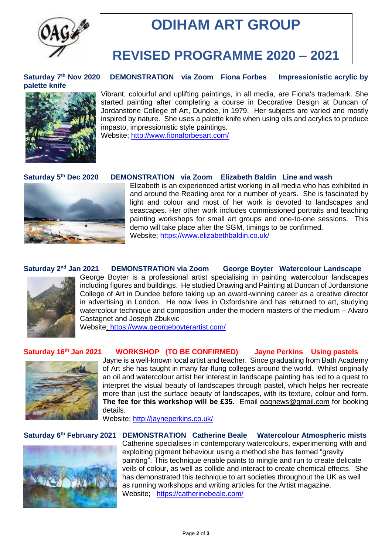

# **ODIHAM ART GROUP**

## **REVISED PROGRAMME 2020 – 2021**

Saturday 7<sup>th</sup> Nov 2020 **palette knife**



Vibrant, colourful and uplifting paintings, in all media, are Fiona's trademark. She started painting after completing a course in Decorative Design at Duncan of Jordanstone College of Art, Dundee, in 1979. Her subjects are varied and mostly inspired by nature. She uses a palette knife when using oils and acrylics to produce impasto, impressionistic style paintings. Website;<http://www.fionaforbesart.com/>

**DEMONSTRATION** via Zoom Fiona Forbes Impressionistic acrylic by

Saturday 5<sup>th</sup> Dec 2020



**DEMONSTRATION** via Zoom Elizabeth Baldin Line and wash

Elizabeth is an experienced artist working in all media who has exhibited in and around the Reading area for a number of years. She is fascinated by light and colour and most of her work is devoted to landscapes and seascapes. Her other work includes commissioned portraits and teaching painting workshops for small art groups and one-to-one sessions. This demo will take place after the SGM, timings to be confirmed. Website;<https://www.elizabethbaldin.co.uk/>

#### Saturday 2<sup>nd</sup> Jan 2021 **DEMONSTRATION** via Zoom George Boyter Watercolour Landscape



George Boyter is a professional artist specialising in painting watercolour landscapes including figures and buildings. He studied Drawing and Painting at Duncan of Jordanstone College of Art in Dundee before taking up an award-winning career as a creative director in advertising in London. He now lives in Oxfordshire and has returned to art, studying watercolour technique and composition under the modern masters of the medium – Alvaro Castagnet and Joseph Zbukvic

Website; https://www.georgeboyterartist.com/

#### Saturday 16<sup>th</sup> Jan 2021 **the WORKSHOP** (TO BE CONFIRMED) Jayne Perkins Using pastels



Jayne is a well-known local artist and teacher. Since graduating from Bath Academy of Art she has taught in many far-flung colleges around the world. Whilst originally an oil and watercolour artist her interest in landscape painting has led to a quest to interpret the visual beauty of landscapes through pastel, which helps her recreate more than just the surface beauty of landscapes, with its texture, colour and form. **The fee for this workshop will be £35.** Email [oagnews@gmail.com](mailto:oagnews@gmail.com) for booking details.

Website;<http://jayneperkins.co.uk/>

#### **Saturday 6 th February 2021 DEMONSTRATION Catherine Beale Watercolour Atmospheric mists**



Catherine specialises in contemporary watercolours, experimenting with and exploiting pigment behaviour using a method she has termed "gravity painting". This technique enable paints to mingle and run to create delicate veils of colour, as well as collide and interact to create chemical effects. She has demonstrated this technique to art societies throughout the UK as well as running workshops and writing articles for the Artist magazine. Website; <https://catherinebeale.com/>